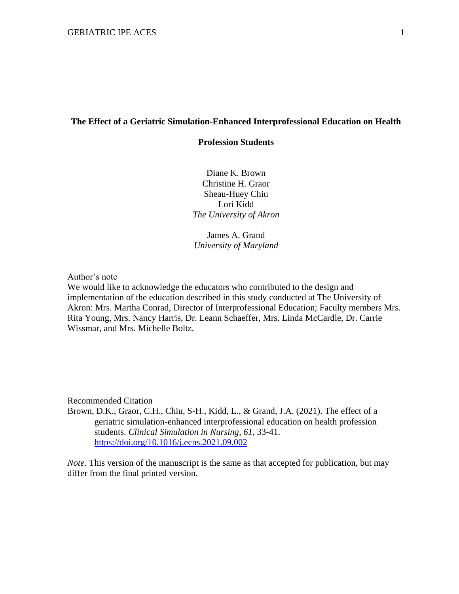#### **The Effect of a Geriatric Simulation-Enhanced Interprofessional Education on Health**

# **Profession Students**

Diane K. Brown Christine H. Graor Sheau-Huey Chiu Lori Kidd *The University of Akron*

James A. Grand *University of Maryland*

Author's note

We would like to acknowledge the educators who contributed to the design and implementation of the education described in this study conducted at The University of Akron: Mrs. Martha Conrad, Director of Interprofessional Education; Faculty members Mrs. Rita Young, Mrs. Nancy Harris, Dr. Leann Schaeffer, Mrs. Linda McCardle, Dr. Carrie Wissmar, and Mrs. Michelle Boltz.

Recommended Citation

Brown, D.K., Graor, C.H., Chiu, S-H., Kidd, L., & Grand, J.A. (2021). The effect of a geriatric simulation-enhanced interprofessional education on health profession students. *Clinical Simulation in Nursing, 61*, 33-41. <https://doi.org/10.1016/j.ecns.2021.09.002>

*Note.* This version of the manuscript is the same as that accepted for publication, but may differ from the final printed version.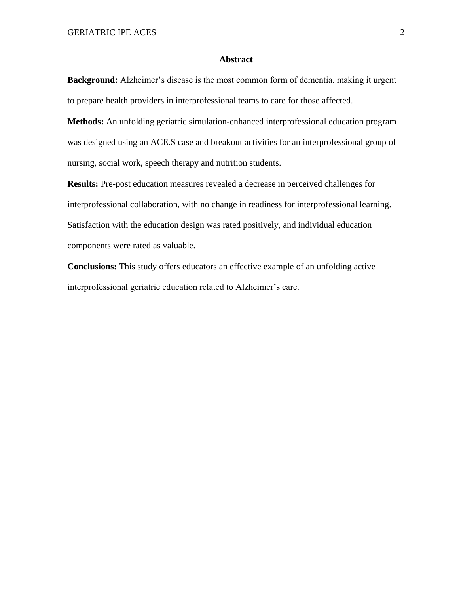# **Abstract**

**Background:** Alzheimer's disease is the most common form of dementia, making it urgent to prepare health providers in interprofessional teams to care for those affected.

**Methods:** An unfolding geriatric simulation-enhanced interprofessional education program was designed using an ACE.S case and breakout activities for an interprofessional group of nursing, social work, speech therapy and nutrition students.

**Results:** Pre-post education measures revealed a decrease in perceived challenges for interprofessional collaboration, with no change in readiness for interprofessional learning. Satisfaction with the education design was rated positively, and individual education components were rated as valuable.

**Conclusions:** This study offers educators an effective example of an unfolding active interprofessional geriatric education related to Alzheimer's care.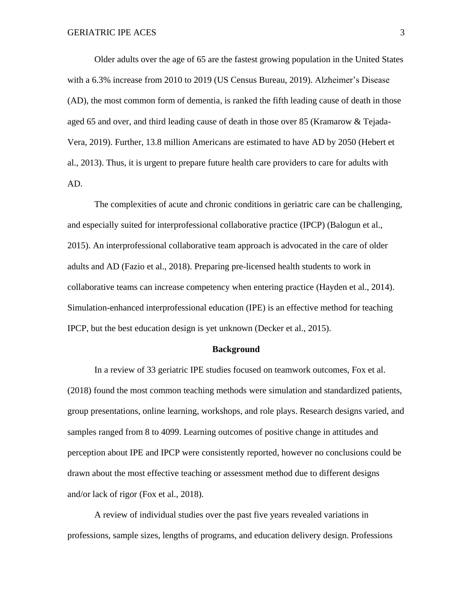Older adults over the age of 65 are the fastest growing population in the United States with a 6.3% increase from 2010 to 2019 (US Census Bureau, 2019). Alzheimer's Disease (AD), the most common form of dementia, is ranked the fifth leading cause of death in those aged 65 and over, and third leading cause of death in those over 85 (Kramarow & Tejada-Vera, 2019). Further, 13.8 million Americans are estimated to have AD by 2050 (Hebert et al., 2013). Thus, it is urgent to prepare future health care providers to care for adults with AD.

The complexities of acute and chronic conditions in geriatric care can be challenging, and especially suited for interprofessional collaborative practice (IPCP) (Balogun et al., 2015). An interprofessional collaborative team approach is advocated in the care of older adults and AD (Fazio et al., 2018). Preparing pre-licensed health students to work in collaborative teams can increase competency when entering practice (Hayden et al., 2014). Simulation-enhanced interprofessional education (IPE) is an effective method for teaching IPCP, but the best education design is yet unknown (Decker et al., 2015).

#### **Background**

In a review of 33 geriatric IPE studies focused on teamwork outcomes, Fox et al. (2018) found the most common teaching methods were simulation and standardized patients, group presentations, online learning, workshops, and role plays. Research designs varied, and samples ranged from 8 to 4099. Learning outcomes of positive change in attitudes and perception about IPE and IPCP were consistently reported, however no conclusions could be drawn about the most effective teaching or assessment method due to different designs and/or lack of rigor (Fox et al., 2018).

A review of individual studies over the past five years revealed variations in professions, sample sizes, lengths of programs, and education delivery design. Professions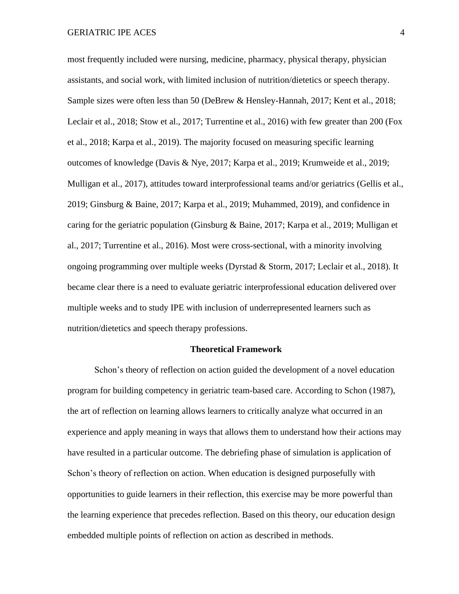most frequently included were nursing, medicine, pharmacy, physical therapy, physician assistants, and social work, with limited inclusion of nutrition/dietetics or speech therapy. Sample sizes were often less than 50 (DeBrew & Hensley-Hannah, 2017; Kent et al., 2018; Leclair et al., 2018; Stow et al., 2017; Turrentine et al., 2016) with few greater than 200 (Fox et al., 2018; Karpa et al., 2019). The majority focused on measuring specific learning outcomes of knowledge (Davis & Nye, 2017; Karpa et al., 2019; Krumweide et al., 2019; Mulligan et al., 2017), attitudes toward interprofessional teams and/or geriatrics (Gellis et al., 2019; Ginsburg & Baine, 2017; Karpa et al., 2019; Muhammed, 2019), and confidence in caring for the geriatric population (Ginsburg & Baine, 2017; Karpa et al., 2019; Mulligan et al., 2017; Turrentine et al., 2016). Most were cross-sectional, with a minority involving ongoing programming over multiple weeks (Dyrstad & Storm, 2017; Leclair et al., 2018). It became clear there is a need to evaluate geriatric interprofessional education delivered over multiple weeks and to study IPE with inclusion of underrepresented learners such as nutrition/dietetics and speech therapy professions.

#### **Theoretical Framework**

Schon's theory of reflection on action guided the development of a novel education program for building competency in geriatric team-based care. According to Schon (1987), the art of reflection on learning allows learners to critically analyze what occurred in an experience and apply meaning in ways that allows them to understand how their actions may have resulted in a particular outcome. The debriefing phase of simulation is application of Schon's theory of reflection on action. When education is designed purposefully with opportunities to guide learners in their reflection, this exercise may be more powerful than the learning experience that precedes reflection. Based on this theory, our education design embedded multiple points of reflection on action as described in methods.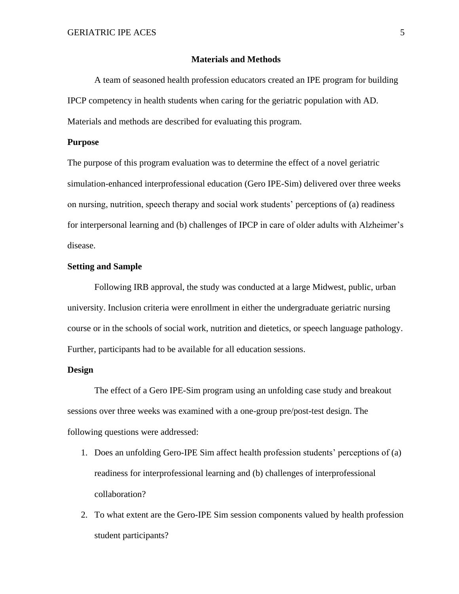#### **Materials and Methods**

A team of seasoned health profession educators created an IPE program for building IPCP competency in health students when caring for the geriatric population with AD. Materials and methods are described for evaluating this program.

#### **Purpose**

The purpose of this program evaluation was to determine the effect of a novel geriatric simulation-enhanced interprofessional education (Gero IPE-Sim) delivered over three weeks on nursing, nutrition, speech therapy and social work students' perceptions of (a) readiness for interpersonal learning and (b) challenges of IPCP in care of older adults with Alzheimer's disease.

## **Setting and Sample**

Following IRB approval, the study was conducted at a large Midwest, public, urban university. Inclusion criteria were enrollment in either the undergraduate geriatric nursing course or in the schools of social work, nutrition and dietetics, or speech language pathology. Further, participants had to be available for all education sessions.

# **Design**

The effect of a Gero IPE-Sim program using an unfolding case study and breakout sessions over three weeks was examined with a one-group pre/post-test design. The following questions were addressed:

- 1. Does an unfolding Gero-IPE Sim affect health profession students' perceptions of (a) readiness for interprofessional learning and (b) challenges of interprofessional collaboration?
- 2. To what extent are the Gero-IPE Sim session components valued by health profession student participants?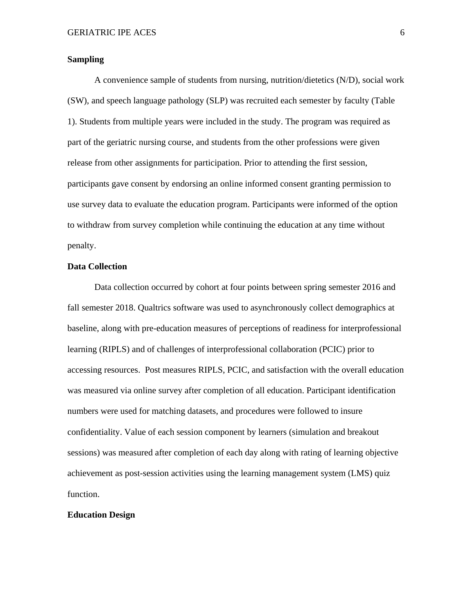# **Sampling**

A convenience sample of students from nursing, nutrition/dietetics (N/D), social work (SW), and speech language pathology (SLP) was recruited each semester by faculty (Table 1). Students from multiple years were included in the study. The program was required as part of the geriatric nursing course, and students from the other professions were given release from other assignments for participation. Prior to attending the first session, participants gave consent by endorsing an online informed consent granting permission to use survey data to evaluate the education program. Participants were informed of the option to withdraw from survey completion while continuing the education at any time without penalty.

#### **Data Collection**

Data collection occurred by cohort at four points between spring semester 2016 and fall semester 2018. Qualtrics software was used to asynchronously collect demographics at baseline, along with pre-education measures of perceptions of readiness for interprofessional learning (RIPLS) and of challenges of interprofessional collaboration (PCIC) prior to accessing resources. Post measures RIPLS, PCIC, and satisfaction with the overall education was measured via online survey after completion of all education. Participant identification numbers were used for matching datasets, and procedures were followed to insure confidentiality. Value of each session component by learners (simulation and breakout sessions) was measured after completion of each day along with rating of learning objective achievement as post-session activities using the learning management system (LMS) quiz function.

# **Education Design**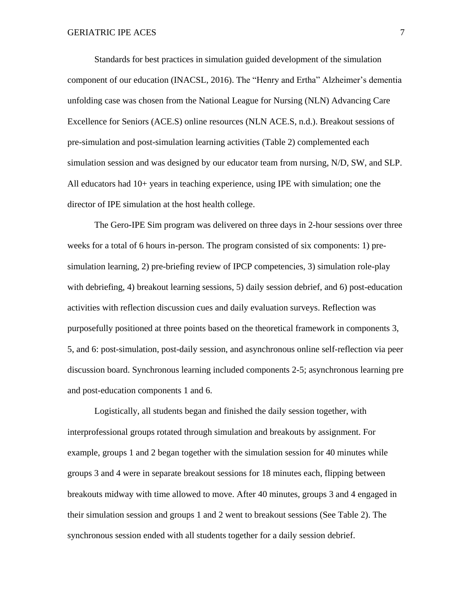Standards for best practices in simulation guided development of the simulation component of our education (INACSL, 2016). The "Henry and Ertha" Alzheimer's dementia unfolding case was chosen from the National League for Nursing (NLN) Advancing Care Excellence for Seniors (ACE.S) online resources (NLN ACE.S, n.d.). Breakout sessions of pre-simulation and post-simulation learning activities (Table 2) complemented each simulation session and was designed by our educator team from nursing, N/D, SW, and SLP. All educators had 10+ years in teaching experience, using IPE with simulation; one the director of IPE simulation at the host health college.

The Gero-IPE Sim program was delivered on three days in 2-hour sessions over three weeks for a total of 6 hours in-person. The program consisted of six components: 1) presimulation learning, 2) pre-briefing review of IPCP competencies, 3) simulation role-play with debriefing, 4) breakout learning sessions, 5) daily session debrief, and 6) post-education activities with reflection discussion cues and daily evaluation surveys. Reflection was purposefully positioned at three points based on the theoretical framework in components 3, 5, and 6: post-simulation, post-daily session, and asynchronous online self-reflection via peer discussion board. Synchronous learning included components 2-5; asynchronous learning pre and post-education components 1 and 6.

Logistically, all students began and finished the daily session together, with interprofessional groups rotated through simulation and breakouts by assignment. For example, groups 1 and 2 began together with the simulation session for 40 minutes while groups 3 and 4 were in separate breakout sessions for 18 minutes each, flipping between breakouts midway with time allowed to move. After 40 minutes, groups 3 and 4 engaged in their simulation session and groups 1 and 2 went to breakout sessions (See Table 2). The synchronous session ended with all students together for a daily session debrief.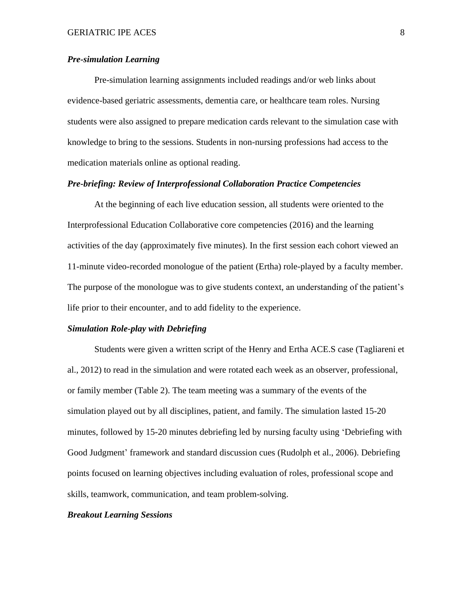# *Pre-simulation Learning*

Pre-simulation learning assignments included readings and/or web links about evidence-based geriatric assessments, dementia care, or healthcare team roles. Nursing students were also assigned to prepare medication cards relevant to the simulation case with knowledge to bring to the sessions. Students in non-nursing professions had access to the medication materials online as optional reading.

# *Pre-briefing: Review of Interprofessional Collaboration Practice Competencies*

At the beginning of each live education session, all students were oriented to the Interprofessional Education Collaborative core competencies (2016) and the learning activities of the day (approximately five minutes). In the first session each cohort viewed an 11-minute video-recorded monologue of the patient (Ertha) role-played by a faculty member. The purpose of the monologue was to give students context, an understanding of the patient's life prior to their encounter, and to add fidelity to the experience.

#### *Simulation Role-play with Debriefing*

Students were given a written script of the Henry and Ertha ACE.S case (Tagliareni et al., 2012) to read in the simulation and were rotated each week as an observer, professional, or family member (Table 2). The team meeting was a summary of the events of the simulation played out by all disciplines, patient, and family. The simulation lasted 15-20 minutes, followed by 15-20 minutes debriefing led by nursing faculty using 'Debriefing with Good Judgment' framework and standard discussion cues (Rudolph et al., 2006). Debriefing points focused on learning objectives including evaluation of roles, professional scope and skills, teamwork, communication, and team problem-solving.

# *Breakout Learning Sessions*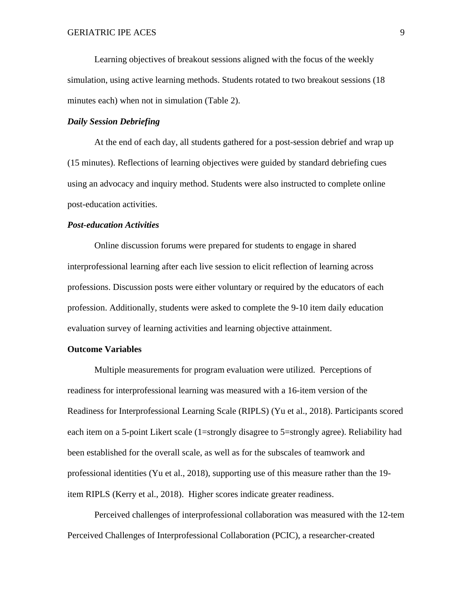Learning objectives of breakout sessions aligned with the focus of the weekly simulation, using active learning methods. Students rotated to two breakout sessions (18 minutes each) when not in simulation (Table 2).

# *Daily Session Debriefing*

At the end of each day, all students gathered for a post-session debrief and wrap up (15 minutes). Reflections of learning objectives were guided by standard debriefing cues using an advocacy and inquiry method. Students were also instructed to complete online post-education activities.

#### *Post-education Activities*

Online discussion forums were prepared for students to engage in shared interprofessional learning after each live session to elicit reflection of learning across professions. Discussion posts were either voluntary or required by the educators of each profession. Additionally, students were asked to complete the 9-10 item daily education evaluation survey of learning activities and learning objective attainment.

#### **Outcome Variables**

Multiple measurements for program evaluation were utilized. Perceptions of readiness for interprofessional learning was measured with a 16-item version of the Readiness for Interprofessional Learning Scale (RIPLS) (Yu et al., 2018). Participants scored each item on a 5-point Likert scale (1=strongly disagree to 5=strongly agree). Reliability had been established for the overall scale, as well as for the subscales of teamwork and professional identities (Yu et al., 2018), supporting use of this measure rather than the 19 item RIPLS (Kerry et al., 2018). Higher scores indicate greater readiness.

Perceived challenges of interprofessional collaboration was measured with the 12-tem Perceived Challenges of Interprofessional Collaboration (PCIC), a researcher-created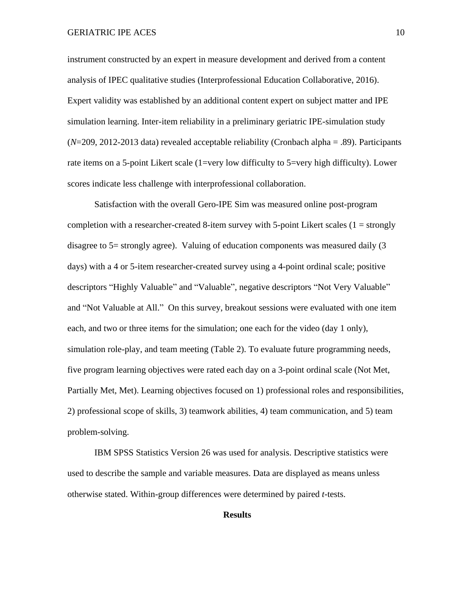instrument constructed by an expert in measure development and derived from a content analysis of IPEC qualitative studies (Interprofessional Education Collaborative, 2016). Expert validity was established by an additional content expert on subject matter and IPE simulation learning. Inter-item reliability in a preliminary geriatric IPE-simulation study (*N*=209, 2012-2013 data) revealed acceptable reliability (Cronbach alpha = .89). Participants rate items on a 5-point Likert scale (1=very low difficulty to 5=very high difficulty). Lower scores indicate less challenge with interprofessional collaboration.

Satisfaction with the overall Gero-IPE Sim was measured online post-program completion with a researcher-created 8-item survey with 5-point Likert scales  $(1 = \text{strongly})$ disagree to 5= strongly agree). Valuing of education components was measured daily (3 days) with a 4 or 5-item researcher-created survey using a 4-point ordinal scale; positive descriptors "Highly Valuable" and "Valuable", negative descriptors "Not Very Valuable" and "Not Valuable at All." On this survey, breakout sessions were evaluated with one item each, and two or three items for the simulation; one each for the video (day 1 only), simulation role-play, and team meeting (Table 2). To evaluate future programming needs, five program learning objectives were rated each day on a 3-point ordinal scale (Not Met, Partially Met, Met). Learning objectives focused on 1) professional roles and responsibilities, 2) professional scope of skills, 3) teamwork abilities, 4) team communication, and 5) team problem-solving.

IBM SPSS Statistics Version 26 was used for analysis. Descriptive statistics were used to describe the sample and variable measures. Data are displayed as means unless otherwise stated. Within-group differences were determined by paired *t-*tests.

# **Results**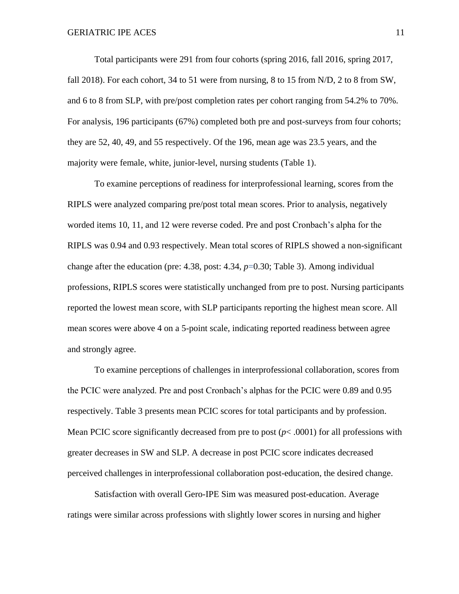Total participants were 291 from four cohorts (spring 2016, fall 2016, spring 2017, fall 2018). For each cohort, 34 to 51 were from nursing, 8 to 15 from N/D, 2 to 8 from SW, and 6 to 8 from SLP, with pre/post completion rates per cohort ranging from 54.2% to 70%. For analysis, 196 participants (67%) completed both pre and post-surveys from four cohorts; they are 52, 40, 49, and 55 respectively. Of the 196, mean age was 23.5 years, and the majority were female, white, junior-level, nursing students (Table 1).

To examine perceptions of readiness for interprofessional learning, scores from the RIPLS were analyzed comparing pre/post total mean scores. Prior to analysis, negatively worded items 10, 11, and 12 were reverse coded. Pre and post Cronbach's alpha for the RIPLS was 0.94 and 0.93 respectively. Mean total scores of RIPLS showed a non-significant change after the education (pre: 4.38, post: 4.34, *p*=0.30; Table 3). Among individual professions, RIPLS scores were statistically unchanged from pre to post. Nursing participants reported the lowest mean score, with SLP participants reporting the highest mean score. All mean scores were above 4 on a 5-point scale, indicating reported readiness between agree and strongly agree.

To examine perceptions of challenges in interprofessional collaboration, scores from the PCIC were analyzed. Pre and post Cronbach's alphas for the PCIC were 0.89 and 0.95 respectively. Table 3 presents mean PCIC scores for total participants and by profession. Mean PCIC score significantly decreased from pre to post  $(p< .0001)$  for all professions with greater decreases in SW and SLP. A decrease in post PCIC score indicates decreased perceived challenges in interprofessional collaboration post-education, the desired change.

Satisfaction with overall Gero-IPE Sim was measured post-education. Average ratings were similar across professions with slightly lower scores in nursing and higher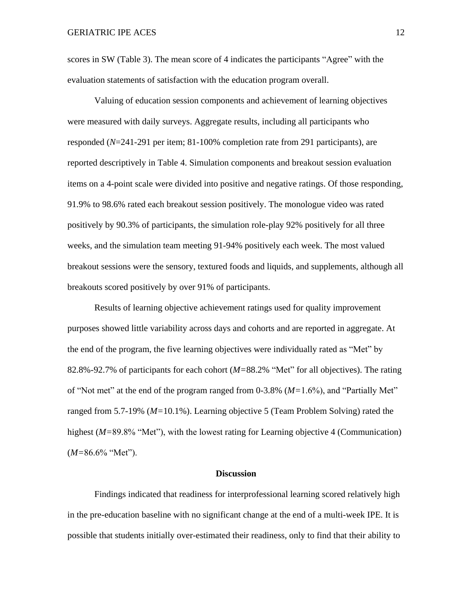scores in SW (Table 3). The mean score of 4 indicates the participants "Agree" with the evaluation statements of satisfaction with the education program overall.

Valuing of education session components and achievement of learning objectives were measured with daily surveys. Aggregate results, including all participants who responded (*N*=241-291 per item; 81-100% completion rate from 291 participants), are reported descriptively in Table 4. Simulation components and breakout session evaluation items on a 4-point scale were divided into positive and negative ratings. Of those responding, 91.9% to 98.6% rated each breakout session positively. The monologue video was rated positively by 90.3% of participants, the simulation role-play 92% positively for all three weeks, and the simulation team meeting 91-94% positively each week. The most valued breakout sessions were the sensory, textured foods and liquids, and supplements, although all breakouts scored positively by over 91% of participants.

Results of learning objective achievement ratings used for quality improvement purposes showed little variability across days and cohorts and are reported in aggregate. At the end of the program, the five learning objectives were individually rated as "Met" by 82.8%-92.7% of participants for each cohort (*M=*88.2% "Met" for all objectives). The rating of "Not met" at the end of the program ranged from 0-3.8% (*M=*1.6%), and "Partially Met" ranged from 5.7-19% (*M=*10.1%). Learning objective 5 (Team Problem Solving) rated the highest (*M*=89.8% "Met"), with the lowest rating for Learning objective 4 (Communication) (*M=*86.6% "Met").

#### **Discussion**

Findings indicated that readiness for interprofessional learning scored relatively high in the pre-education baseline with no significant change at the end of a multi-week IPE. It is possible that students initially over-estimated their readiness, only to find that their ability to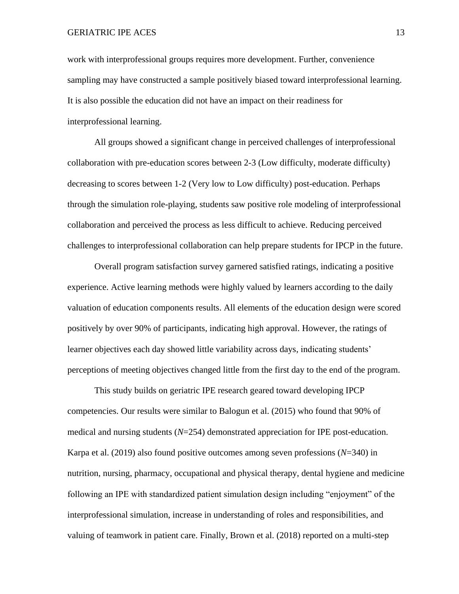work with interprofessional groups requires more development. Further, convenience sampling may have constructed a sample positively biased toward interprofessional learning. It is also possible the education did not have an impact on their readiness for interprofessional learning.

All groups showed a significant change in perceived challenges of interprofessional collaboration with pre-education scores between 2-3 (Low difficulty, moderate difficulty) decreasing to scores between 1-2 (Very low to Low difficulty) post-education. Perhaps through the simulation role-playing, students saw positive role modeling of interprofessional collaboration and perceived the process as less difficult to achieve. Reducing perceived challenges to interprofessional collaboration can help prepare students for IPCP in the future.

Overall program satisfaction survey garnered satisfied ratings, indicating a positive experience. Active learning methods were highly valued by learners according to the daily valuation of education components results. All elements of the education design were scored positively by over 90% of participants, indicating high approval. However, the ratings of learner objectives each day showed little variability across days, indicating students' perceptions of meeting objectives changed little from the first day to the end of the program.

This study builds on geriatric IPE research geared toward developing IPCP competencies. Our results were similar to Balogun et al. (2015) who found that 90% of medical and nursing students (*N*=254) demonstrated appreciation for IPE post-education. Karpa et al. (2019) also found positive outcomes among seven professions (*N*=340) in nutrition, nursing, pharmacy, occupational and physical therapy, dental hygiene and medicine following an IPE with standardized patient simulation design including "enjoyment" of the interprofessional simulation, increase in understanding of roles and responsibilities, and valuing of teamwork in patient care. Finally, Brown et al. (2018) reported on a multi-step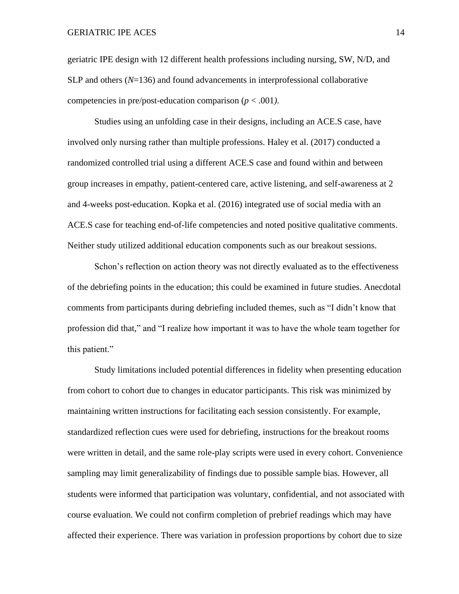geriatric IPE design with 12 different health professions including nursing, SW, N/D, and SLP and others (*N*=136) and found advancements in interprofessional collaborative competencies in pre/post-education comparison (*p* < .001*)*.

Studies using an unfolding case in their designs, including an ACE.S case, have involved only nursing rather than multiple professions. Haley et al. (2017) conducted a randomized controlled trial using a different ACE.S case and found within and between group increases in empathy, patient-centered care, active listening, and self-awareness at 2 and 4-weeks post-education. Kopka et al. (2016) integrated use of social media with an ACE.S case for teaching end-of-life competencies and noted positive qualitative comments. Neither study utilized additional education components such as our breakout sessions.

Schon's reflection on action theory was not directly evaluated as to the effectiveness of the debriefing points in the education; this could be examined in future studies. Anecdotal comments from participants during debriefing included themes, such as "I didn't know that profession did that," and "I realize how important it was to have the whole team together for this patient."

Study limitations included potential differences in fidelity when presenting education from cohort to cohort due to changes in educator participants. This risk was minimized by maintaining written instructions for facilitating each session consistently. For example, standardized reflection cues were used for debriefing, instructions for the breakout rooms were written in detail, and the same role-play scripts were used in every cohort. Convenience sampling may limit generalizability of findings due to possible sample bias. However, all students were informed that participation was voluntary, confidential, and not associated with course evaluation. We could not confirm completion of prebrief readings which may have affected their experience. There was variation in profession proportions by cohort due to size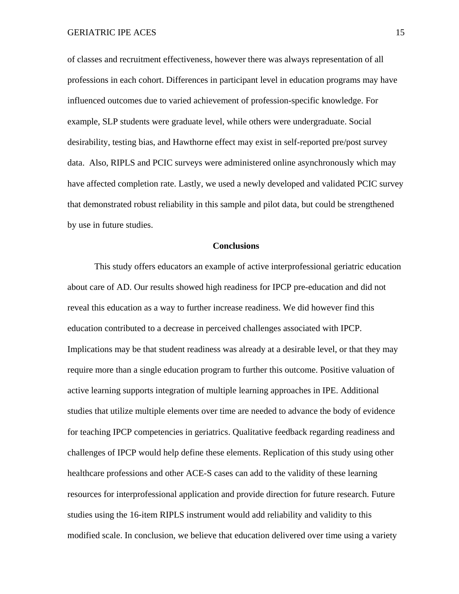of classes and recruitment effectiveness, however there was always representation of all professions in each cohort. Differences in participant level in education programs may have influenced outcomes due to varied achievement of profession-specific knowledge. For example, SLP students were graduate level, while others were undergraduate. Social desirability, testing bias, and Hawthorne effect may exist in self-reported pre/post survey data. Also, RIPLS and PCIC surveys were administered online asynchronously which may have affected completion rate. Lastly, we used a newly developed and validated PCIC survey that demonstrated robust reliability in this sample and pilot data, but could be strengthened by use in future studies.

#### **Conclusions**

This study offers educators an example of active interprofessional geriatric education about care of AD. Our results showed high readiness for IPCP pre-education and did not reveal this education as a way to further increase readiness. We did however find this education contributed to a decrease in perceived challenges associated with IPCP. Implications may be that student readiness was already at a desirable level, or that they may require more than a single education program to further this outcome. Positive valuation of active learning supports integration of multiple learning approaches in IPE. Additional studies that utilize multiple elements over time are needed to advance the body of evidence for teaching IPCP competencies in geriatrics. Qualitative feedback regarding readiness and challenges of IPCP would help define these elements. Replication of this study using other healthcare professions and other ACE-S cases can add to the validity of these learning resources for interprofessional application and provide direction for future research. Future studies using the 16-item RIPLS instrument would add reliability and validity to this modified scale. In conclusion, we believe that education delivered over time using a variety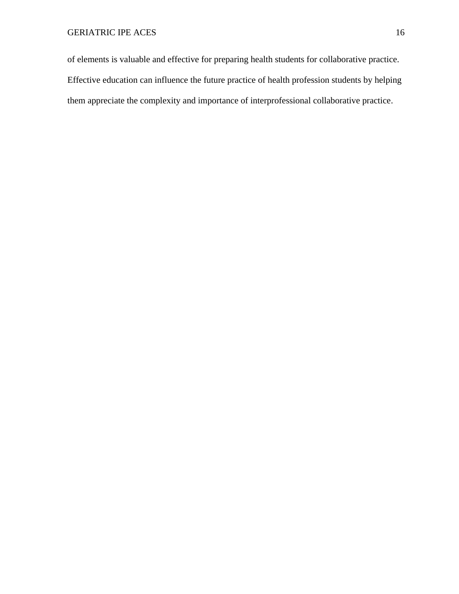of elements is valuable and effective for preparing health students for collaborative practice. Effective education can influence the future practice of health profession students by helping them appreciate the complexity and importance of interprofessional collaborative practice.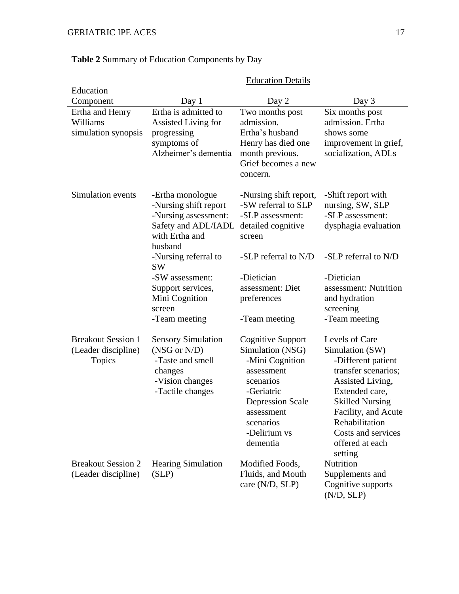|                             | <b>Education Details</b>          |                                       |                                              |
|-----------------------------|-----------------------------------|---------------------------------------|----------------------------------------------|
| Education                   |                                   |                                       |                                              |
| Component                   | Day 1<br>Ertha is admitted to     | Day 2                                 | Day 3                                        |
| Ertha and Henry<br>Williams |                                   | Two months post<br>admission.         | Six months post<br>admission. Ertha          |
|                             | Assisted Living for               | Ertha's husband                       | shows some                                   |
| simulation synopsis         | progressing<br>symptoms of        |                                       |                                              |
|                             | Alzheimer's dementia              | Henry has died one<br>month previous. | improvement in grief,<br>socialization, ADLs |
|                             |                                   | Grief becomes a new                   |                                              |
|                             |                                   | concern.                              |                                              |
|                             |                                   |                                       |                                              |
| Simulation events           | -Ertha monologue                  | -Nursing shift report,                | -Shift report with                           |
|                             | -Nursing shift report             | -SW referral to SLP                   | nursing, SW, SLP                             |
|                             | -Nursing assessment:              | -SLP assessment:                      | -SLP assessment:                             |
|                             | Safety and ADL/IADL               | detailed cognitive                    | dysphagia evaluation                         |
|                             | with Ertha and                    | screen                                |                                              |
|                             | husband                           |                                       |                                              |
|                             | -Nursing referral to<br><b>SW</b> | -SLP referral to N/D                  | -SLP referral to N/D                         |
|                             | -SW assessment:                   | -Dietician                            | -Dietician                                   |
|                             | Support services,                 | assessment: Diet                      | assessment: Nutrition                        |
|                             | Mini Cognition                    | preferences                           | and hydration                                |
|                             | screen                            |                                       | screening                                    |
|                             | -Team meeting                     | -Team meeting                         | -Team meeting                                |
| <b>Breakout Session 1</b>   | <b>Sensory Simulation</b>         | <b>Cognitive Support</b>              | Levels of Care                               |
| (Leader discipline)         | (NSG or N/D)                      | Simulation (NSG)                      | Simulation (SW)                              |
| Topics                      | -Taste and smell                  | -Mini Cognition                       | -Different patient                           |
|                             | changes                           | assessment                            | transfer scenarios;                          |
|                             | -Vision changes                   | scenarios                             | Assisted Living,                             |
|                             | -Tactile changes                  | -Geriatric                            | Extended care,                               |
|                             |                                   | <b>Depression Scale</b>               | <b>Skilled Nursing</b>                       |
|                             |                                   | assessment                            | Facility, and Acute                          |
|                             |                                   | scenarios                             | Rehabilitation                               |
|                             |                                   | -Delirium vs                          | Costs and services                           |
|                             |                                   | dementia                              | offered at each                              |
|                             |                                   |                                       | setting                                      |
| <b>Breakout Session 2</b>   | <b>Hearing Simulation</b>         | Modified Foods,                       | Nutrition                                    |
| (Leader discipline)         | (SLP)                             | Fluids, and Mouth                     | Supplements and                              |
|                             |                                   | care (N/D, SLP)                       | Cognitive supports                           |
|                             |                                   |                                       | (N/D, SLP)                                   |

# **Table 2** Summary of Education Components by Day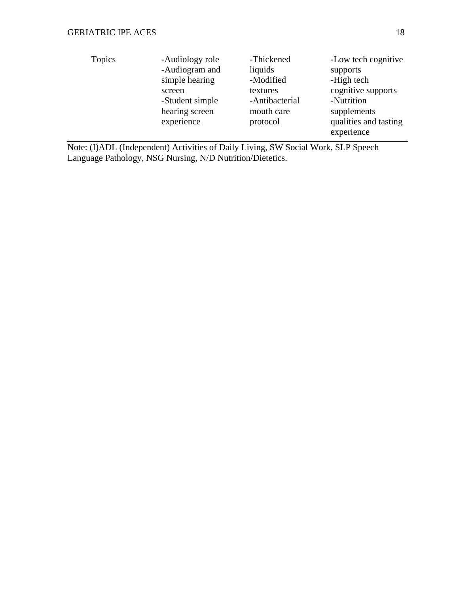| <b>Topics</b> | -Audiology role | -Thickened     | -Low tech cognitive   |
|---------------|-----------------|----------------|-----------------------|
|               | -Audiogram and  | liquids        | supports              |
|               | simple hearing  | -Modified      | -High tech            |
|               | screen          | textures       | cognitive supports    |
|               | -Student simple | -Antibacterial | -Nutrition            |
|               | hearing screen  | mouth care     | supplements           |
|               | experience      | protocol       | qualities and tasting |
|               |                 |                | experience            |
|               |                 |                |                       |

Note: (I)ADL (Independent) Activities of Daily Living, SW Social Work, SLP Speech Language Pathology, NSG Nursing, N/D Nutrition/Dietetics.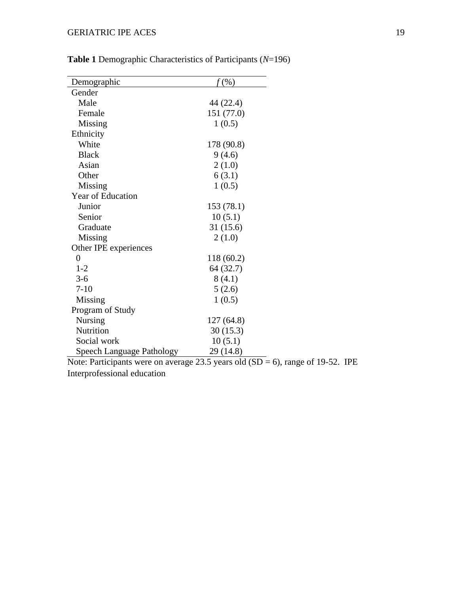| Demographic                      | $f(\%)$    |  |
|----------------------------------|------------|--|
| Gender                           |            |  |
| Male                             | 44 (22.4)  |  |
| Female                           | 151 (77.0) |  |
| Missing                          | 1(0.5)     |  |
| Ethnicity                        |            |  |
| White                            | 178 (90.8) |  |
| <b>Black</b>                     | 9(4.6)     |  |
| Asian                            | 2(1.0)     |  |
| Other                            | 6(3.1)     |  |
| Missing                          | 1(0.5)     |  |
| Year of Education                |            |  |
| Junior                           | 153 (78.1) |  |
| Senior                           | 10(5.1)    |  |
| Graduate                         | 31(15.6)   |  |
| Missing                          | 2(1.0)     |  |
| Other IPE experiences            |            |  |
| $\overline{0}$                   | 118 (60.2) |  |
| $1 - 2$                          | 64 (32.7)  |  |
| $3 - 6$                          | 8(4.1)     |  |
| $7 - 10$                         | 5(2.6)     |  |
| Missing                          | 1(0.5)     |  |
| Program of Study                 |            |  |
| Nursing                          | 127(64.8)  |  |
| Nutrition                        | 30(15.3)   |  |
| Social work                      | 10(5.1)    |  |
| <b>Speech Language Pathology</b> | 29 (14.8)  |  |

**Table 1** Demographic Characteristics of Participants (*N*=196)

Note: Participants were on average 23.5 years old  $(SD = 6)$ , range of 19-52. IPE Interprofessional education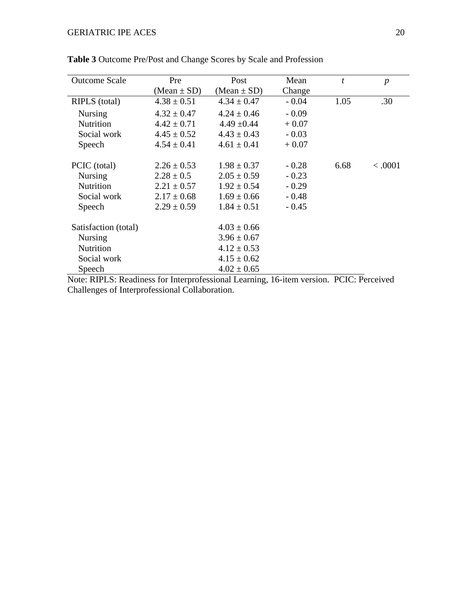| <b>Outcome Scale</b> | Pre             | Post            | Mean    | t    | $\boldsymbol{p}$ |
|----------------------|-----------------|-----------------|---------|------|------------------|
|                      | $(Mean \pm SD)$ | $(Mean \pm SD)$ | Change  |      |                  |
| RIPLS (total)        | $4.38 \pm 0.51$ | $4.34 \pm 0.47$ | $-0.04$ | 1.05 | .30              |
| <b>Nursing</b>       | $4.32 \pm 0.47$ | $4.24 \pm 0.46$ | $-0.09$ |      |                  |
| <b>Nutrition</b>     | $4.42 \pm 0.71$ | $4.49 \pm 0.44$ | $+0.07$ |      |                  |
| Social work          | $4.45 \pm 0.52$ | $4.43 \pm 0.43$ | $-0.03$ |      |                  |
| Speech               | $4.54 \pm 0.41$ | $4.61 \pm 0.41$ | $+0.07$ |      |                  |
| PCIC (total)         | $2.26 \pm 0.53$ | $1.98 \pm 0.37$ | $-0.28$ | 6.68 | < .0001          |
| <b>Nursing</b>       | $2.28 \pm 0.5$  | $2.05 \pm 0.59$ | $-0.23$ |      |                  |
| Nutrition            | $2.21 \pm 0.57$ | $1.92 \pm 0.54$ | $-0.29$ |      |                  |
| Social work          | $2.17 \pm 0.68$ | $1.69 \pm 0.66$ | $-0.48$ |      |                  |
| Speech               | $2.29 \pm 0.59$ | $1.84 \pm 0.51$ | $-0.45$ |      |                  |
| Satisfaction (total) |                 | $4.03 \pm 0.66$ |         |      |                  |
| <b>Nursing</b>       |                 | $3.96 \pm 0.67$ |         |      |                  |
| Nutrition            |                 | $4.12 \pm 0.53$ |         |      |                  |
| Social work          |                 | $4.15 \pm 0.62$ |         |      |                  |
| Speech               |                 | $4.02 \pm 0.65$ |         |      |                  |

**Table 3** Outcome Pre/Post and Change Scores by Scale and Profession

Note: RIPLS: Readiness for Interprofessional Learning, 16-item version. PCIC: Perceived Challenges of Interprofessional Collaboration.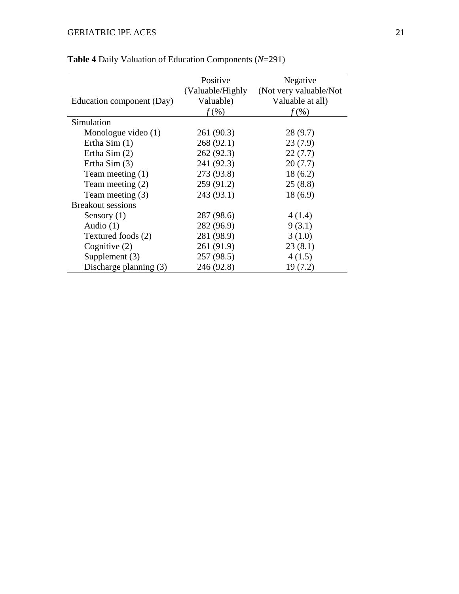|                           | Positive          | Negative               |
|---------------------------|-------------------|------------------------|
|                           | (Valuable/Highly) | (Not very valuable/Not |
| Education component (Day) | Valuable)         | Valuable at all)       |
|                           | (% )              | (% )                   |
| Simulation                |                   |                        |
| Monologue video $(1)$     | 261 (90.3)        | 28(9.7)                |
| Ertha Sim $(1)$           | 268 (92.1)        | 23(7.9)                |
| Ertha Sim $(2)$           | 262 (92.3)        | 22(7.7)                |
| Ertha Sim $(3)$           | 241 (92.3)        | 20(7.7)                |
| Team meeting $(1)$        | 273 (93.8)        | 18(6.2)                |
| Team meeting $(2)$        | 259 (91.2)        | 25(8.8)                |
| Team meeting (3)          | 243 (93.1)        | 18(6.9)                |
| <b>Breakout sessions</b>  |                   |                        |
| Sensory $(1)$             | 287 (98.6)        | 4(1.4)                 |
| Audio $(1)$               | 282 (96.9)        | 9(3.1)                 |
| Textured foods (2)        | 281 (98.9)        | 3(1.0)                 |
| Cognitive $(2)$           | 261 (91.9)        | 23(8.1)                |
| Supplement $(3)$          | 257(98.5)         | 4(1.5)                 |
| Discharge planning (3)    | 246 (92.8)        | 19(7.2)                |

# **Table 4** Daily Valuation of Education Components (*N*=291)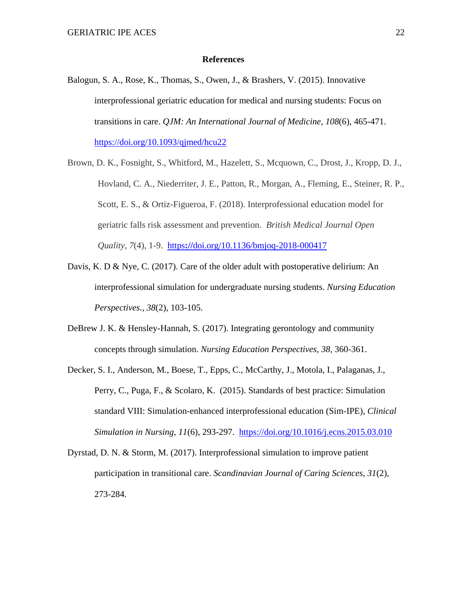#### **References**

- Balogun, S. A., Rose, K., Thomas, S., Owen, J., & Brashers, V. (2015). Innovative interprofessional geriatric education for medical and nursing students: Focus on transitions in care. *QJM: An International Journal of Medicine, 108*(6), 465-471. <https://doi.org/10.1093/qjmed/hcu22>
- Brown, D. K., Fosnight, S., Whitford, M., Hazelett, S., Mcquown, C., Drost, J., Kropp, D. J., Hovland, C. A., Niederriter, J. E., Patton, R., Morgan, A., Fleming, E., Steiner, R. P., Scott, E. S., & Ortiz-Figueroa, F. (2018). Interprofessional education model for geriatric falls risk assessment and prevention. *British Medical Journal Open Quality, 7*(4), 1-9.https**://**[doi.org/10.1136/bmjoq-2018-000417](https://doi.org/10.1136/bmjoq-2018-000417)
- Davis, K. D & Nye, C. (2017). Care of the older adult with postoperative delirium: An interprofessional simulation for undergraduate nursing students. *Nursing Education Perspectives., 38*(2), 103-105.
- DeBrew J. K. & Hensley-Hannah, S. (2017). Integrating gerontology and community concepts through simulation. *Nursing Education Perspectives, 38*, 360-361.
- Decker, S. I., Anderson, M., Boese, T., Epps, C., McCarthy, J., Motola, I., Palaganas, J., Perry, C., Puga, F., & Scolaro, K. (2015). Standards of best practice: Simulation standard VIII: Simulation-enhanced interprofessional education (Sim-IPE), *Clinical Simulation in Nursing, 11*(6), 293-297. <https://doi.org/10.1016/j.ecns.2015.03.010>
- Dyrstad, D. N. & Storm, M. (2017). Interprofessional simulation to improve patient participation in transitional care. *Scandinavian Journal of Caring Sciences, 31*(2), 273-284.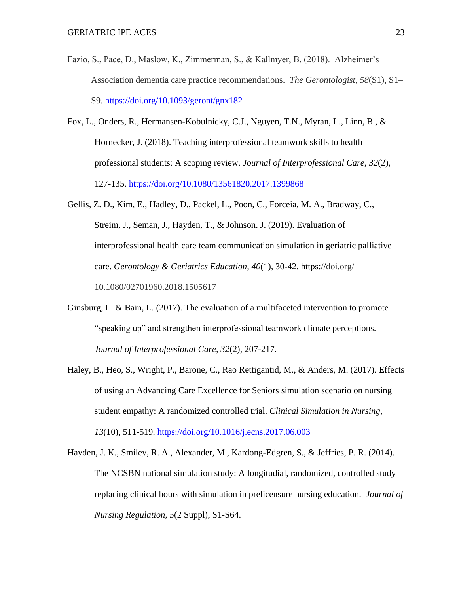- Fazio, S., Pace, D., Maslow, K., Zimmerman, S., & Kallmyer, B. (2018). Alzheimer's Association dementia care practice recommendations. *The Gerontologist*, *58*(S1), S1– S9.<https://doi.org/10.1093/geront/gnx182>
- Fox, L., Onders, R., Hermansen-Kobulnicky, C.J., Nguyen, T.N., Myran, L., Linn, B., & Hornecker, J. (2018). Teaching interprofessional teamwork skills to health professional students: A scoping review. *Journal of Interprofessional Care, 32*(2), 127-135.<https://doi.org/10.1080/13561820.2017.1399868>
- Gellis, Z. D., Kim, E., Hadley, D., Packel, L., Poon, C., Forceia, M. A., Bradway, C., Streim, J., Seman, J., Hayden, T., & Johnson. J. (2019). Evaluation of interprofessional health care team communication simulation in geriatric palliative care. *Gerontology & Geriatrics Education, 40*(1)*,* 30-42. https://doi.org/ 10.1080/02701960.2018.1505617
- Ginsburg, L. & Bain, L. (2017). The evaluation of a multifaceted intervention to promote "speaking up" and strengthen interprofessional teamwork climate perceptions. *Journal of Interprofessional Care, 32*(2), 207-217.
- Haley, B., Heo, S., Wright, P., Barone, C., Rao Rettigantid, M., & Anders, M. (2017). Effects of using an Advancing Care Excellence for Seniors simulation scenario on nursing student empathy: A randomized controlled trial. *Clinical Simulation in Nursing, 13*(10), 511-519.<https://doi.org/10.1016/j.ecns.2017.06.003>
- Hayden, J. K., Smiley, R. A., Alexander, M., Kardong-Edgren, S., & Jeffries, P. R. (2014). The NCSBN national simulation study: A longitudial, randomized, controlled study replacing clinical hours with simulation in prelicensure nursing education. *Journal of Nursing Regulation, 5*(2 Suppl), S1-S64.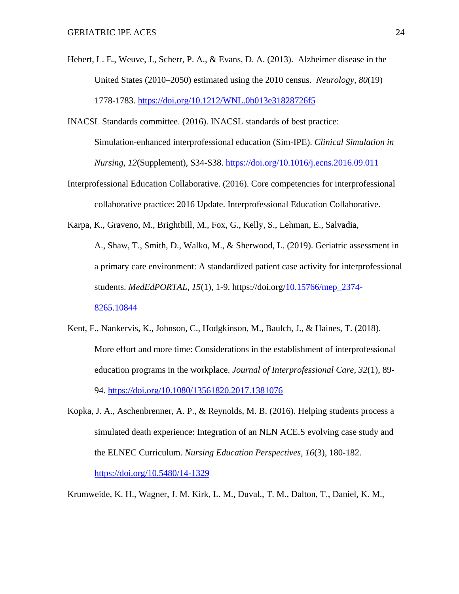- Hebert, L. E., Weuve, J., Scherr, P. A., & Evans, D. A. (2013). Alzheimer disease in the United States (2010–2050) estimated using the 2010 census. *Neurology, 80*(19) 1778-1783.<https://doi.org/10.1212/WNL.0b013e31828726f5>
- INACSL Standards committee. (2016). INACSL standards of best practice: Simulation-enhanced interprofessional education (Sim-IPE). *Clinical Simulation in Nursing, 12*(Supplement), S34-S38.<https://doi.org/10.1016/j.ecns.2016.09.011>
- Interprofessional Education Collaborative. (2016). Core competencies for interprofessional collaborative practice: 2016 Update. Interprofessional Education Collaborative.

Karpa, K., Graveno, M., Brightbill, M., Fox, G., Kelly, S., Lehman, E., Salvadia,

A., Shaw, T., Smith, D., Walko, M., & Sherwood, L. (2019). Geriatric assessment in a primary care environment: A standardized patient case activity for interprofessional students. *MedEdPORTAL, 15*(1), 1-9. https://doi.org[/10.15766/mep\\_2374-](https://dx-doi-org.ezproxy.uakron.edu:2443/10.15766%2Fmep_2374-8265.10844) [8265.10844](https://dx-doi-org.ezproxy.uakron.edu:2443/10.15766%2Fmep_2374-8265.10844)

- Kent, F., Nankervis, K., Johnson, C., Hodgkinson, M., Baulch, J., & Haines, T. (2018). More effort and more time: Considerations in the establishment of interprofessional education programs in the workplace. *Journal of Interprofessional Care, 32*(1), 89- 94.<https://doi.org/10.1080/13561820.2017.1381076>
- Kopka, J. A., Aschenbrenner, A. P., & Reynolds, M. B. (2016). Helping students process a simulated death experience: Integration of an NLN ACE.S evolving case study and the ELNEC Curriculum. *Nursing Education Perspectives, 16*(3), 180-182. <https://doi.org/10.5480/14-1329>

Krumweide, K. H., Wagner, J. M. Kirk, L. M., Duval., T. M., Dalton, T., Daniel, K. M.,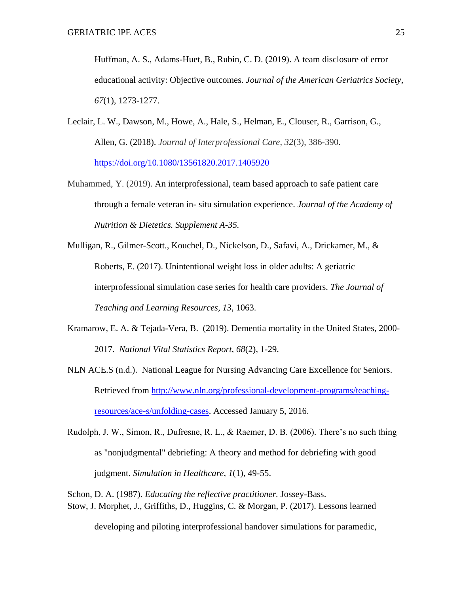Huffman, A. S., Adams-Huet, B., Rubin, C. D. (2019). A team disclosure of error educational activity: Objective outcomes. *Journal of the American Geriatrics Society, 67*(1)*,* 1273-1277.

- Leclair, L. W., Dawson, M., Howe, A., Hale, S., Helman, E., Clouser, R., Garrison, G., Allen, G. (2018). *Journal of Interprofessional Care, 32*(3), 386-390. <https://doi.org/10.1080/13561820.2017.1405920>
- Muhammed, Y. (2019). An interprofessional, team based approach to safe patient care through a female veteran in- situ simulation experience. *Journal of the Academy of Nutrition & Dietetics. Supplement A-35.*
- Mulligan, R., Gilmer-Scott., Kouchel, D., Nickelson, D., Safavi, A., Drickamer, M., & Roberts, E. (2017). Unintentional weight loss in older adults: A geriatric interprofessional simulation case series for health care providers. *The Journal of Teaching and Learning Resources, 13*, 1063.
- Kramarow, E. A. & Tejada-Vera, B. (2019). Dementia mortality in the United States, 2000- 2017. *National Vital Statistics Report, 68*(2), 1-29.
- NLN ACE.S (n.d.). National League for Nursing Advancing Care Excellence for Seniors. Retrieved from [http://www.nln.org/professional-development-programs/teaching](http://www.nln.org/professional-development-programs/teaching-resources/ace-s/unfolding-cases)[resources/ace-s/unfolding-cases.](http://www.nln.org/professional-development-programs/teaching-resources/ace-s/unfolding-cases) Accessed January 5, 2016.
- Rudolph, J. W., Simon, R., Dufresne, R. L., & Raemer, D. B. (2006). There's no such thing as "nonjudgmental" debriefing: A theory and method for debriefing with good judgment. *Simulation in Healthcare, 1*(1), 49-55.
- Schon, D. A. (1987). *Educating the reflective practitioner.* Jossey-Bass. Stow, J. Morphet, J., Griffiths, D., Huggins, C. & Morgan, P. (2017). Lessons learned

developing and piloting interprofessional handover simulations for paramedic,